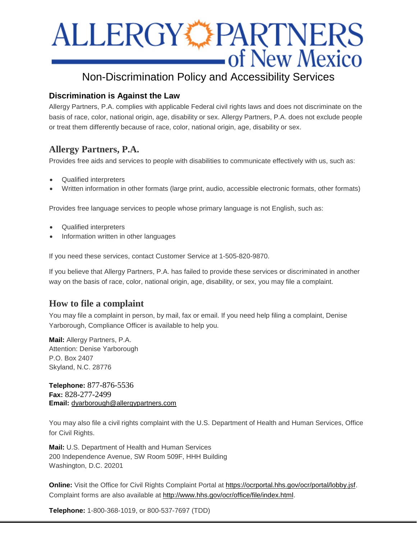# ALLERGY PARTNERS

# Non-Discrimination Policy and Accessibility Services

## **Discrimination is Against the Law**

Allergy Partners, P.A. complies with applicable Federal civil rights laws and does not discriminate on the basis of race, color, national origin, age, disability or sex. Allergy Partners, P.A. does not exclude people or treat them differently because of race, color, national origin, age, disability or sex.

# **Allergy Partners, P.A.**

Provides free aids and services to people with disabilities to communicate effectively with us, such as:

- Qualified interpreters
- Written information in other formats (large print, audio, accessible electronic formats, other formats)

Provides free language services to people whose primary language is not English, such as:

- Qualified interpreters
- Information written in other languages

If you need these services, contact Customer Service at 1-505-820-9870.

If you believe that Allergy Partners, P.A. has failed to provide these services or discriminated in another way on the basis of race, color, national origin, age, disability, or sex, you may file a complaint.

# **How to file a complaint**

You may file a complaint in person, by mail, fax or email. If you need help filing a complaint, Denise Yarborough, Compliance Officer is available to help you.

**Mail:** Allergy Partners, P.A. Attention: Denise Yarborough P.O. Box 2407 Skyland, N.C. 28776

**Telephone:** 877-876-5536 **Fax:** 828-277-2499 **Email:** [dyarborough@allergypartners.com](mailto:dyarborough@allergypartners.com)

You may also file a civil rights complaint with the U.S. Department of Health and Human Services, Office for Civil Rights.

**Mail:** U.S. Department of Health and Human Services 200 Independence Avenue, SW Room 509F, HHH Building Washington, D.C. 20201

**Online:** Visit the Office for Civil Rights Complaint Portal at [https://ocrportal.hhs.gov/ocr/portal/lobby.jsf.](https://ocrportal.hhs.gov/ocr/portal/lobby.jsf) Complaint forms are also available at [http://www.hhs.gov/ocr/office/file/index.html.](http://www.hhs.gov/ocr/office/file/index.html)

**Telephone:** 1-800-368-1019, or 800-537-7697 (TDD)